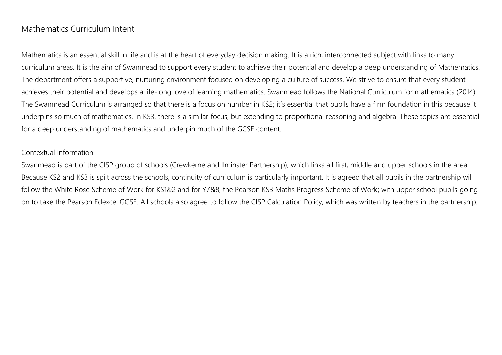# Mathematics Curriculum Intent

Mathematics is an essential skill in life and is at the heart of everyday decision making. It is a rich, interconnected subject with links to many curriculum areas. It is the aim of Swanmead to support every student to achieve their potential and develop a deep understanding of Mathematics. The department offers a supportive, nurturing environment focused on developing a culture of success. We strive to ensure that every student achieves their potential and develops a life-long love of learning mathematics. Swanmead follows the National Curriculum for mathematics (2014). The Swanmead Curriculum is arranged so that there is a focus on number in KS2; it's essential that pupils have a firm foundation in this because it underpins so much of mathematics. In KS3, there is a similar focus, but extending to proportional reasoning and algebra. These topics are essential for a deep understanding of mathematics and underpin much of the GCSE content.

#### Contextual Information

Swanmead is part of the CISP group of schools (Crewkerne and Ilminster Partnership), which links all first, middle and upper schools in the area. Because KS2 and KS3 is spilt across the schools, continuity of curriculum is particularly important. It is agreed that all pupils in the partnership will follow the White Rose Scheme of Work for KS1&2 and for Y7&8, the Pearson KS3 Maths Progress Scheme of Work; with upper school pupils going on to take the Pearson Edexcel GCSE. All schools also agree to follow the CISP Calculation Policy, which was written by teachers in the partnership.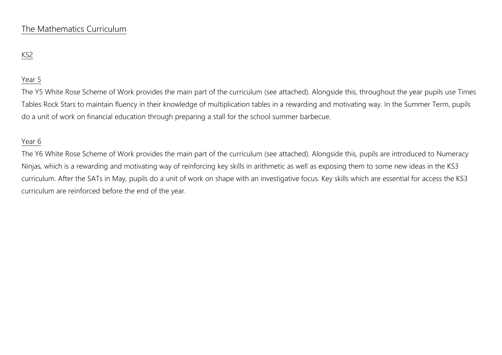## The Mathematics Curriculum

## KS2

### Year 5

The Y5 White Rose Scheme of Work provides the main part of the curriculum (see attached). Alongside this, throughout the year pupils use Times Tables Rock Stars to maintain fluency in their knowledge of multiplication tables in a rewarding and motivating way. In the Summer Term, pupils do a unit of work on financial education through preparing a stall for the school summer barbecue.

### Year 6

The Y6 White Rose Scheme of Work provides the main part of the curriculum (see attached). Alongside this, pupils are introduced to Numeracy Ninjas, which is a rewarding and motivating way of reinforcing key skills in arithmetic as well as exposing them to some new ideas in the KS3 curriculum. After the SATs in May, pupils do a unit of work on shape with an investigative focus. Key skills which are essential for access the KS3 curriculum are reinforced before the end of the year.